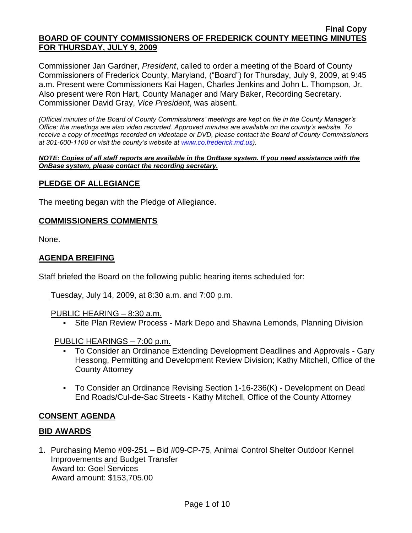Commissioner Jan Gardner, *President*, called to order a meeting of the Board of County Commissioners of Frederick County, Maryland, ("Board") for Thursday, July 9, 2009, at 9:45 a.m. Present were Commissioners Kai Hagen, Charles Jenkins and John L. Thompson, Jr. Also present were Ron Hart, County Manager and Mary Baker, Recording Secretary. Commissioner David Gray, *Vice President*, was absent.

*(Official minutes of the Board of County Commissioners' meetings are kept on file in the County Manager's Office; the meetings are also video recorded. Approved minutes are available on the county's website. To receive a copy of meetings recorded on videotape or DVD, please contact the Board of County Commissioners at 301-600-1100 or visit the county's website at [www.co.frederick.md.us\)](http://www.co.frederick.md.us/).*

#### *NOTE: Copies of all staff reports are available in the OnBase system. If you need assistance with the OnBase system, please contact the recording secretary.*

## **PLEDGE OF ALLEGIANCE**

The meeting began with the Pledge of Allegiance.

### **COMMISSIONERS COMMENTS**

None.

## **AGENDA BREIFING**

Staff briefed the Board on the following public hearing items scheduled for:

### Tuesday, July 14, 2009, at 8:30 a.m. and 7:00 p.m.

### PUBLIC HEARING – 8:30 a.m.

Site Plan Review Process - Mark Depo and Shawna Lemonds, Planning Division

### PUBLIC HEARINGS – 7:00 p.m.

- To Consider an Ordinance Extending Development Deadlines and Approvals Gary Hessong, Permitting and Development Review Division; Kathy Mitchell, Office of the County Attorney
- To Consider an Ordinance Revising Section 1-16-236(K) Development on Dead End Roads/Cul-de-Sac Streets - Kathy Mitchell, Office of the County Attorney

## **CONSENT AGENDA**

### **BID AWARDS**

1. Purchasing Memo #09-251 – Bid #09-CP-75, Animal Control Shelter Outdoor Kennel Improvements and Budget Transfer Award to: Goel Services Award amount: \$153,705.00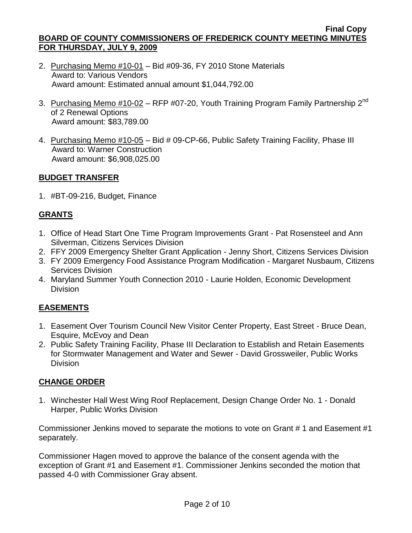- 2. Purchasing Memo #10-01 Bid #09-36, FY 2010 Stone Materials Award to: Various Vendors Award amount: Estimated annual amount \$1,044,792.00
- 3. Purchasing Memo #10-02 RFP #07-20, Youth Training Program Family Partnership 2<sup>nd</sup> of 2 Renewal Options Award amount: \$83,789.00
- 4. Purchasing Memo #10-05 Bid # 09-CP-66, Public Safety Training Facility, Phase III Award to: Warner Construction Award amount: \$6,908,025.00

# **BUDGET TRANSFER**

1. #BT-09-216, Budget, Finance

# **GRANTS**

- 1. Office of Head Start One Time Program Improvements Grant Pat Rosensteel and Ann Silverman, Citizens Services Division
- 2. FFY 2009 Emergency Shelter Grant Application Jenny Short, Citizens Services Division
- 3. FY 2009 Emergency Food Assistance Program Modification Margaret Nusbaum, Citizens Services Division
- 4. Maryland Summer Youth Connection 2010 Laurie Holden, Economic Development Division

# **EASEMENTS**

- 1. Easement Over Tourism Council New Visitor Center Property, East Street Bruce Dean, Esquire, McEvoy and Dean
- 2. Public Safety Training Facility, Phase III Declaration to Establish and Retain Easements for Stormwater Management and Water and Sewer - David Grossweiler, Public Works Division

# **CHANGE ORDER**

1. Winchester Hall West Wing Roof Replacement, Design Change Order No. 1 - Donald Harper, Public Works Division

Commissioner Jenkins moved to separate the motions to vote on Grant # 1 and Easement #1 separately.

Commissioner Hagen moved to approve the balance of the consent agenda with the exception of Grant #1 and Easement #1. Commissioner Jenkins seconded the motion that passed 4-0 with Commissioner Gray absent.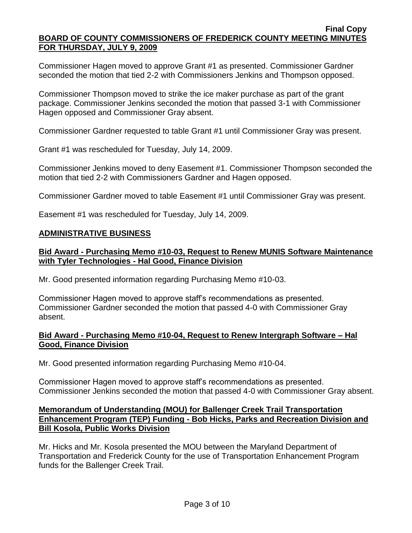Commissioner Hagen moved to approve Grant #1 as presented. Commissioner Gardner seconded the motion that tied 2-2 with Commissioners Jenkins and Thompson opposed.

Commissioner Thompson moved to strike the ice maker purchase as part of the grant package. Commissioner Jenkins seconded the motion that passed 3-1 with Commissioner Hagen opposed and Commissioner Gray absent.

Commissioner Gardner requested to table Grant #1 until Commissioner Gray was present.

Grant #1 was rescheduled for Tuesday, July 14, 2009.

Commissioner Jenkins moved to deny Easement #1. Commissioner Thompson seconded the motion that tied 2-2 with Commissioners Gardner and Hagen opposed.

Commissioner Gardner moved to table Easement #1 until Commissioner Gray was present.

Easement #1 was rescheduled for Tuesday, July 14, 2009.

### **ADMINISTRATIVE BUSINESS**

## **Bid Award - Purchasing Memo #10-03, Request to Renew MUNIS Software Maintenance with Tyler Technologies - Hal Good, Finance Division**

Mr. Good presented information regarding Purchasing Memo #10-03.

Commissioner Hagen moved to approve staff's recommendations as presented. Commissioner Gardner seconded the motion that passed 4-0 with Commissioner Gray absent.

## **Bid Award - Purchasing Memo #10-04, Request to Renew Intergraph Software – Hal Good, Finance Division**

Mr. Good presented information regarding Purchasing Memo #10-04.

Commissioner Hagen moved to approve staff's recommendations as presented. Commissioner Jenkins seconded the motion that passed 4-0 with Commissioner Gray absent.

## **Memorandum of Understanding (MOU) for Ballenger Creek Trail Transportation Enhancement Program (TEP) Funding - Bob Hicks, Parks and Recreation Division and Bill Kosola, Public Works Division**

Mr. Hicks and Mr. Kosola presented the MOU between the Maryland Department of Transportation and Frederick County for the use of Transportation Enhancement Program funds for the Ballenger Creek Trail.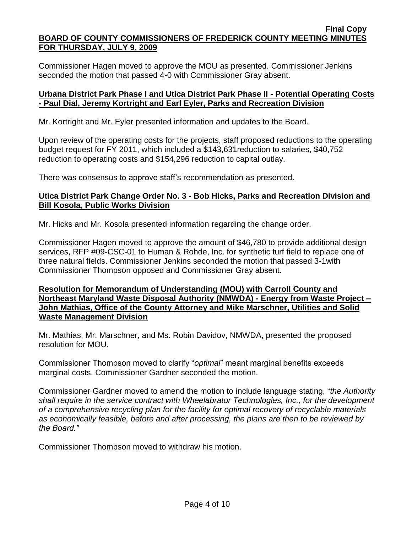Commissioner Hagen moved to approve the MOU as presented. Commissioner Jenkins seconded the motion that passed 4-0 with Commissioner Gray absent.

## **Urbana District Park Phase I and Utica District Park Phase II - Potential Operating Costs - Paul Dial, Jeremy Kortright and Earl Eyler, Parks and Recreation Division**

Mr. Kortright and Mr. Eyler presented information and updates to the Board.

Upon review of the operating costs for the projects, staff proposed reductions to the operating budget request for FY 2011, which included a \$143,631reduction to salaries, \$40,752 reduction to operating costs and \$154,296 reduction to capital outlay.

There was consensus to approve staff's recommendation as presented.

## **Utica District Park Change Order No. 3 - Bob Hicks, Parks and Recreation Division and Bill Kosola, Public Works Division**

Mr. Hicks and Mr. Kosola presented information regarding the change order.

Commissioner Hagen moved to approve the amount of \$46,780 to provide additional design services, RFP #09-CSC-01 to Human & Rohde, Inc. for synthetic turf field to replace one of three natural fields. Commissioner Jenkins seconded the motion that passed 3-1with Commissioner Thompson opposed and Commissioner Gray absent.

## **Resolution for Memorandum of Understanding (MOU) with Carroll County and Northeast Maryland Waste Disposal Authority (NMWDA) - Energy from Waste Project – John Mathias, Office of the County Attorney and Mike Marschner, Utilities and Solid Waste Management Division**

Mr. Mathias, Mr. Marschner, and Ms. Robin Davidov, NMWDA, presented the proposed resolution for MOU.

Commissioner Thompson moved to clarify "*optimal*" meant marginal benefits exceeds marginal costs. Commissioner Gardner seconded the motion.

Commissioner Gardner moved to amend the motion to include language stating, "*the Authority shall require in the service contract with Wheelabrator Technologies, Inc., for the development of a comprehensive recycling plan for the facility for optimal recovery of recyclable materials as economically feasible, before and after processing, the plans are then to be reviewed by the Board."*

Commissioner Thompson moved to withdraw his motion.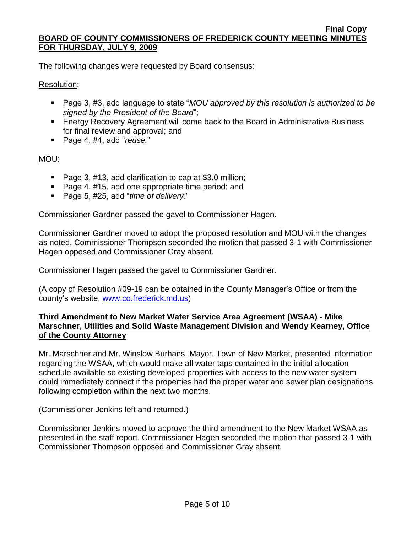The following changes were requested by Board consensus:

## Resolution:

- Page 3, #3, add language to state "*MOU approved by this resolution is authorized to be signed by the President of the Board*";
- **Energy Recovery Agreement will come back to the Board in Administrative Business** for final review and approval; and
- Page 4, #4, add "*reuse.*"

# MOU:

- Page 3, #13, add clarification to cap at \$3.0 million;
- Page 4, #15, add one appropriate time period; and
- Page 5, #25, add "*time of delivery*."

Commissioner Gardner passed the gavel to Commissioner Hagen.

Commissioner Gardner moved to adopt the proposed resolution and MOU with the changes as noted. Commissioner Thompson seconded the motion that passed 3-1 with Commissioner Hagen opposed and Commissioner Gray absent.

Commissioner Hagen passed the gavel to Commissioner Gardner.

(A copy of Resolution #09-19 can be obtained in the County Manager's Office or from the county's website, [www.co.frederick.md.us\)](www.co.frederick.md.us)

# **Third Amendment to New Market Water Service Area Agreement (WSAA) - Mike Marschner, Utilities and Solid Waste Management Division and Wendy Kearney, Office of the County Attorney**

Mr. Marschner and Mr. Winslow Burhans, Mayor, Town of New Market, presented information regarding the WSAA, which would make all water taps contained in the initial allocation schedule available so existing developed properties with access to the new water system could immediately connect if the properties had the proper water and sewer plan designations following completion within the next two months.

(Commissioner Jenkins left and returned.)

Commissioner Jenkins moved to approve the third amendment to the New Market WSAA as presented in the staff report. Commissioner Hagen seconded the motion that passed 3-1 with Commissioner Thompson opposed and Commissioner Gray absent.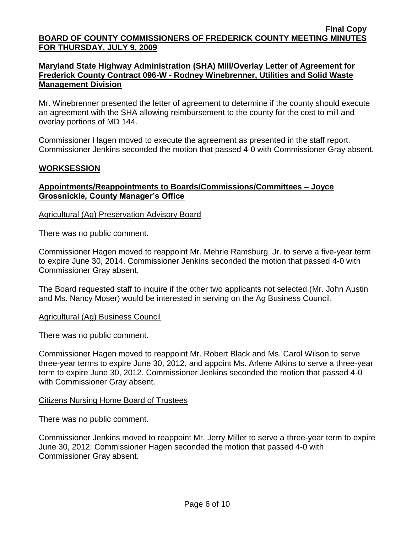## **Maryland State Highway Administration (SHA) Mill/Overlay Letter of Agreement for Frederick County Contract 096-W - Rodney Winebrenner, Utilities and Solid Waste Management Division**

Mr. Winebrenner presented the letter of agreement to determine if the county should execute an agreement with the SHA allowing reimbursement to the county for the cost to mill and overlay portions of MD 144.

Commissioner Hagen moved to execute the agreement as presented in the staff report. Commissioner Jenkins seconded the motion that passed 4-0 with Commissioner Gray absent.

## **WORKSESSION**

## **Appointments/Reappointments to Boards/Commissions/Committees – Joyce Grossnickle, County Manager's Office**

Agricultural (Ag) Preservation Advisory Board

There was no public comment.

Commissioner Hagen moved to reappoint Mr. Mehrle Ramsburg, Jr. to serve a five-year term to expire June 30, 2014. Commissioner Jenkins seconded the motion that passed 4-0 with Commissioner Gray absent.

The Board requested staff to inquire if the other two applicants not selected (Mr. John Austin and Ms. Nancy Moser) would be interested in serving on the Ag Business Council.

Agricultural (Ag) Business Council

There was no public comment.

Commissioner Hagen moved to reappoint Mr. Robert Black and Ms. Carol Wilson to serve three-year terms to expire June 30, 2012, and appoint Ms. Arlene Atkins to serve a three-year term to expire June 30, 2012. Commissioner Jenkins seconded the motion that passed 4-0 with Commissioner Gray absent.

### Citizens Nursing Home Board of Trustees

There was no public comment.

Commissioner Jenkins moved to reappoint Mr. Jerry Miller to serve a three-year term to expire June 30, 2012. Commissioner Hagen seconded the motion that passed 4-0 with Commissioner Gray absent.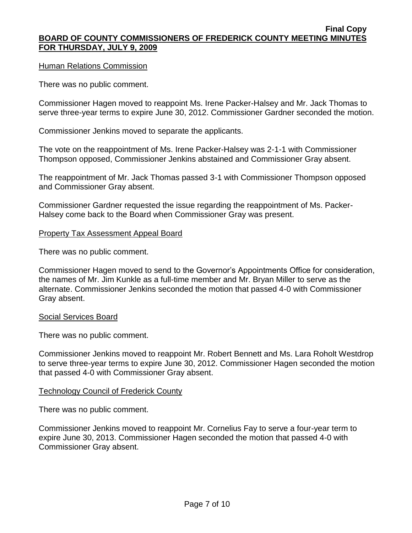### Human Relations Commission

There was no public comment.

Commissioner Hagen moved to reappoint Ms. Irene Packer-Halsey and Mr. Jack Thomas to serve three-year terms to expire June 30, 2012. Commissioner Gardner seconded the motion.

Commissioner Jenkins moved to separate the applicants.

The vote on the reappointment of Ms. Irene Packer-Halsey was 2-1-1 with Commissioner Thompson opposed, Commissioner Jenkins abstained and Commissioner Gray absent.

The reappointment of Mr. Jack Thomas passed 3-1 with Commissioner Thompson opposed and Commissioner Gray absent.

Commissioner Gardner requested the issue regarding the reappointment of Ms. Packer-Halsey come back to the Board when Commissioner Gray was present.

### Property Tax Assessment Appeal Board

There was no public comment.

Commissioner Hagen moved to send to the Governor's Appointments Office for consideration, the names of Mr. Jim Kunkle as a full-time member and Mr. Bryan Miller to serve as the alternate. Commissioner Jenkins seconded the motion that passed 4-0 with Commissioner Gray absent.

### Social Services Board

There was no public comment.

Commissioner Jenkins moved to reappoint Mr. Robert Bennett and Ms. Lara Roholt Westdrop to serve three-year terms to expire June 30, 2012. Commissioner Hagen seconded the motion that passed 4-0 with Commissioner Gray absent.

## Technology Council of Frederick County

There was no public comment.

Commissioner Jenkins moved to reappoint Mr. Cornelius Fay to serve a four-year term to expire June 30, 2013. Commissioner Hagen seconded the motion that passed 4-0 with Commissioner Gray absent.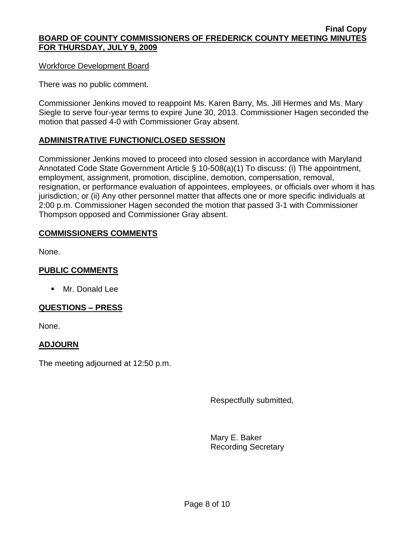### Workforce Development Board

There was no public comment.

Commissioner Jenkins moved to reappoint Ms. Karen Barry, Ms. Jill Hermes and Ms. Mary Siegle to serve four-year terms to expire June 30, 2013. Commissioner Hagen seconded the motion that passed 4-0 with Commissioner Gray absent.

## **ADMINISTRATIVE FUNCTION/CLOSED SESSION**

Commissioner Jenkins moved to proceed into closed session in accordance with Maryland Annotated Code State Government Article § 10-508(a)(1) To discuss: (i) The appointment, employment, assignment, promotion, discipline, demotion, compensation, removal, resignation, or performance evaluation of appointees, employees, or officials over whom it has jurisdiction; or (ii) Any other personnel matter that affects one or more specific individuals at 2:00 p.m. Commissioner Hagen seconded the motion that passed 3-1 with Commissioner Thompson opposed and Commissioner Gray absent.

## **COMMISSIONERS COMMENTS**

None.

# **PUBLIC COMMENTS**

**Mr. Donald Lee** 

## **QUESTIONS – PRESS**

None.

## **ADJOURN**

The meeting adjourned at 12:50 p.m.

Respectfully submitted,

Mary E. Baker Recording Secretary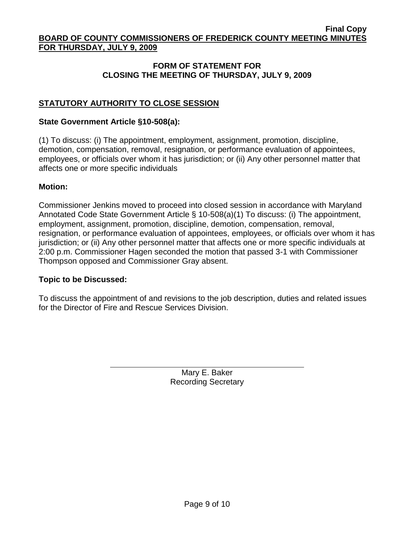# **FORM OF STATEMENT FOR CLOSING THE MEETING OF THURSDAY, JULY 9, 2009**

# **STATUTORY AUTHORITY TO CLOSE SESSION**

### **State Government Article §10-508(a):**

(1) To discuss: (i) The appointment, employment, assignment, promotion, discipline, demotion, compensation, removal, resignation, or performance evaluation of appointees, employees, or officials over whom it has jurisdiction; or (ii) Any other personnel matter that affects one or more specific individuals

### **Motion:**

Commissioner Jenkins moved to proceed into closed session in accordance with Maryland Annotated Code State Government Article § 10-508(a)(1) To discuss: (i) The appointment, employment, assignment, promotion, discipline, demotion, compensation, removal, resignation, or performance evaluation of appointees, employees, or officials over whom it has jurisdiction; or (ii) Any other personnel matter that affects one or more specific individuals at 2:00 p.m. Commissioner Hagen seconded the motion that passed 3-1 with Commissioner Thompson opposed and Commissioner Gray absent.

## **Topic to be Discussed:**

To discuss the appointment of and revisions to the job description, duties and related issues for the Director of Fire and Rescue Services Division.

> Mary E. Baker Recording Secretary